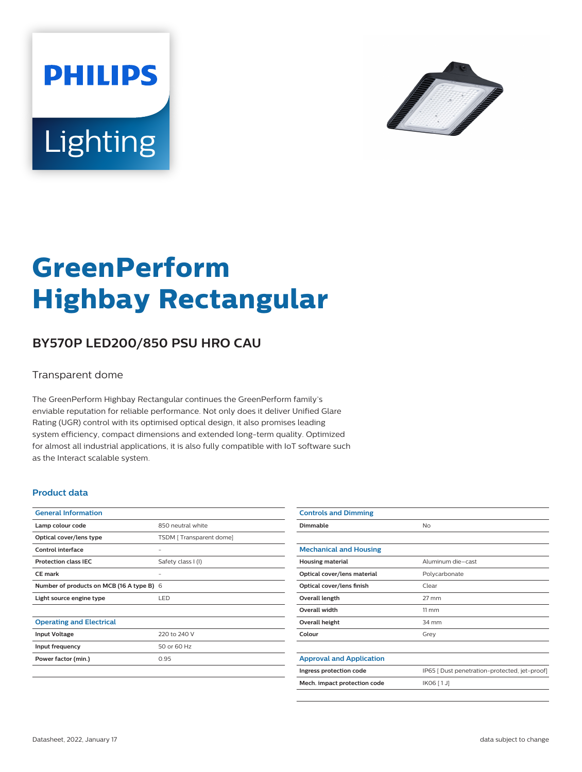



# **GreenPerform Highbay Rectangular**

## **BY570P LED200/850 PSU HRO CAU**

#### Transparent dome

The GreenPerform Highbay Rectangular continues the GreenPerform family's enviable reputation for reliable performance. Not only does it deliver Unified Glare Rating (UGR) control with its optimised optical design, it also promises leading system efficiency, compact dimensions and extended long-term quality. Optimized for almost all industrial applications, it is also fully compatible with IoT software such as the Interact scalable system.

#### **Product data**

| <b>General Information</b>                |                         |
|-------------------------------------------|-------------------------|
| Lamp colour code                          | 850 neutral white       |
| Optical cover/lens type                   | TSDM [Transparent dome] |
| Control interface                         |                         |
| <b>Protection class IEC</b>               | Safety class I (I)      |
| CF mark                                   |                         |
| Number of products on MCB (16 A type B) 6 |                         |
| Light source engine type                  | <b>LED</b>              |
|                                           |                         |
| <b>Operating and Electrical</b>           |                         |
| <b>Input Voltage</b>                      | 220 to 240 V            |
| Input frequency                           | 50 or 60 Hz             |
| Power factor (min.)                       | 0.95                    |
|                                           |                         |

| <b>Controls and Dimming</b>     |                                               |
|---------------------------------|-----------------------------------------------|
| Dimmable                        | <b>No</b>                                     |
|                                 |                                               |
| <b>Mechanical and Housing</b>   |                                               |
| <b>Housing material</b>         | Aluminum die-cast                             |
| Optical cover/lens material     | Polycarbonate                                 |
| Optical cover/lens finish       | Clear                                         |
| Overall length                  | $27$ mm                                       |
| Overall width                   | $11 \, \mathrm{mm}$                           |
| Overall height                  | 34 mm                                         |
| Colour                          | Grey                                          |
|                                 |                                               |
| <b>Approval and Application</b> |                                               |
| Ingress protection code         | IP65 [ Dust penetration-protected, jet-proof] |
| Mech. impact protection code    | IK06 [1J]                                     |
|                                 |                                               |